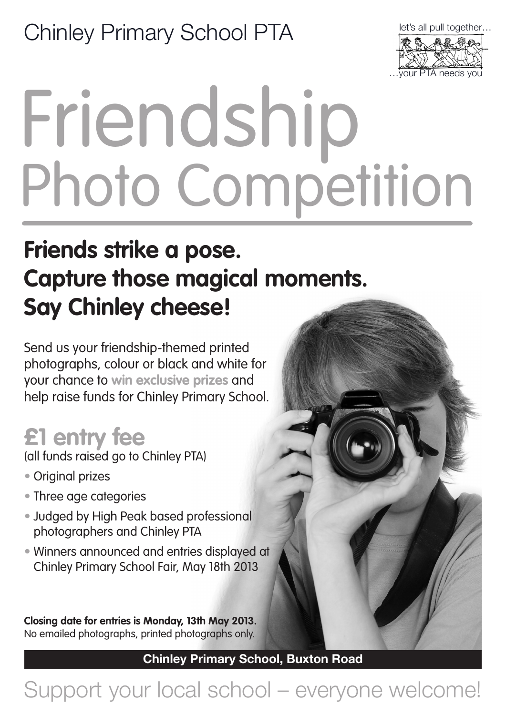#### Chinley Primary School PTA



# Friendship Photo Competition

### **Friends strike a pose. Capture those magical moments. Say Chinley cheese!**

Send us your friendship-themed printed photographs, colour or black and white for your chance to **win exclusive prizes** and help raise funds for Chinley Primary School.

#### **£1 entry fee**

(all funds raised go to Chinley PTA)

- Original prizes
- Three age categories
- Judged by High Peak based professional photographers and Chinley PTA
- Winners announced and entries displayed at Chinley Primary School Fair, May 18th 2013

**Closing date for entries is Monday, 13th May 2013.** No emailed photographs, printed photographs only.

Chinley Primary School, Buxton Road

#### Support your local school – everyone welcome!